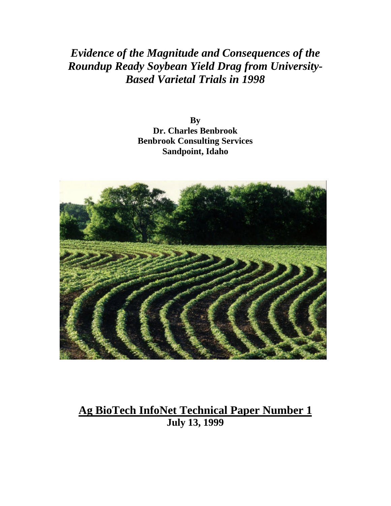# *Evidence of the Magnitude and Consequences of the Roundup Ready Soybean Yield Drag from University-Based Varietal Trials in 1998*

**By Dr. Charles Benbrook Benbrook Consulting Services Sandpoint, Idaho**



# **Ag BioTech InfoNet Technical Paper Number 1 July 13, 1999**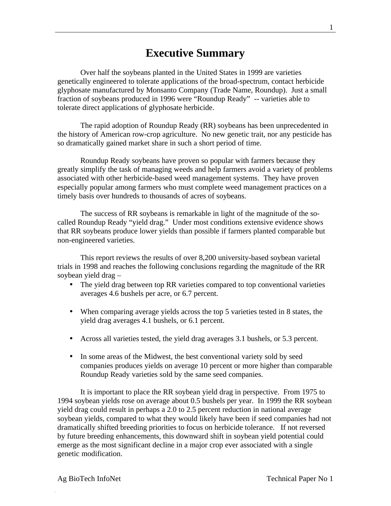# **Executive Summary**

Over half the soybeans planted in the United States in 1999 are varieties genetically engineered to tolerate applications of the broad-spectrum, contact herbicide glyphosate manufactured by Monsanto Company (Trade Name, Roundup). Just a small fraction of soybeans produced in 1996 were "Roundup Ready" -- varieties able to tolerate direct applications of glyphosate herbicide.

The rapid adoption of Roundup Ready (RR) soybeans has been unprecedented in the history of American row-crop agriculture. No new genetic trait, nor any pesticide has so dramatically gained market share in such a short period of time.

Roundup Ready soybeans have proven so popular with farmers because they greatly simplify the task of managing weeds and help farmers avoid a variety of problems associated with other herbicide-based weed management systems. They have proven especially popular among farmers who must complete weed management practices on a timely basis over hundreds to thousands of acres of soybeans.

The success of RR soybeans is remarkable in light of the magnitude of the socalled Roundup Ready "yield drag." Under most conditions extensive evidence shows that RR soybeans produce lower yields than possible if farmers planted comparable but non-engineered varieties.

This report reviews the results of over 8,200 university-based soybean varietal trials in 1998 and reaches the following conclusions regarding the magnitude of the RR soybean yield drag –

- The yield drag between top RR varieties compared to top conventional varieties averages 4.6 bushels per acre, or 6.7 percent.
- When comparing average yields across the top 5 varieties tested in 8 states, the yield drag averages 4.1 bushels, or 6.1 percent.
- Across all varieties tested, the yield drag averages 3.1 bushels, or 5.3 percent.
- In some areas of the Midwest, the best conventional variety sold by seed companies produces yields on average 10 percent or more higher than comparable Roundup Ready varieties sold by the same seed companies.

It is important to place the RR soybean yield drag in perspective. From 1975 to 1994 soybean yields rose on average about 0.5 bushels per year. In 1999 the RR soybean yield drag could result in perhaps a 2.0 to 2.5 percent reduction in national average soybean yields, compared to what they would likely have been if seed companies had not dramatically shifted breeding priorities to focus on herbicide tolerance. If not reversed by future breeding enhancements, this downward shift in soybean yield potential could emerge as the most significant decline in a major crop ever associated with a single genetic modification.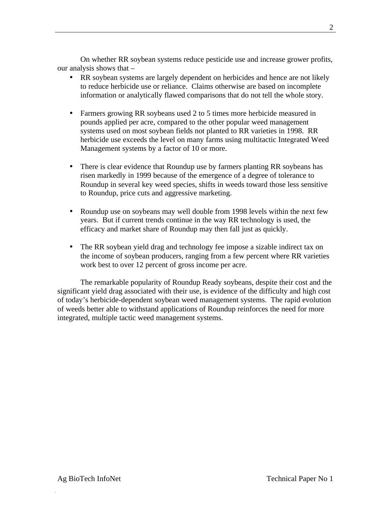On whether RR soybean systems reduce pesticide use and increase grower profits, our analysis shows that –

- RR soybean systems are largely dependent on herbicides and hence are not likely to reduce herbicide use or reliance. Claims otherwise are based on incomplete information or analytically flawed comparisons that do not tell the whole story.
- Farmers growing RR soybeans used 2 to 5 times more herbicide measured in pounds applied per acre, compared to the other popular weed management systems used on most soybean fields not planted to RR varieties in 1998. RR herbicide use exceeds the level on many farms using multitactic Integrated Weed Management systems by a factor of 10 or more.
- There is clear evidence that Roundup use by farmers planting RR soybeans has risen markedly in 1999 because of the emergence of a degree of tolerance to Roundup in several key weed species, shifts in weeds toward those less sensitive to Roundup, price cuts and aggressive marketing.
- Roundup use on soybeans may well double from 1998 levels within the next few years. But if current trends continue in the way RR technology is used, the efficacy and market share of Roundup may then fall just as quickly.
- The RR soybean yield drag and technology fee impose a sizable indirect tax on the income of soybean producers, ranging from a few percent where RR varieties work best to over 12 percent of gross income per acre.

The remarkable popularity of Roundup Ready soybeans, despite their cost and the significant yield drag associated with their use, is evidence of the difficulty and high cost of today's herbicide-dependent soybean weed management systems. The rapid evolution of weeds better able to withstand applications of Roundup reinforces the need for more integrated, multiple tactic weed management systems.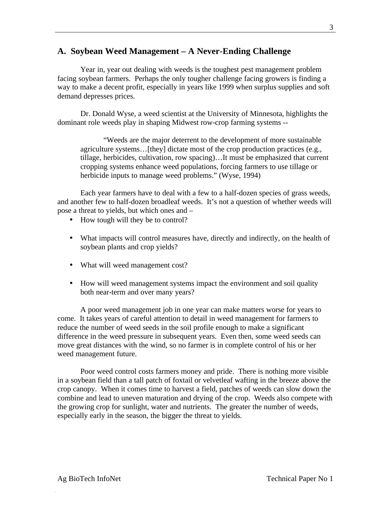## **A. Soybean Weed Management – A Never-Ending Challenge**

Year in, year out dealing with weeds is the toughest pest management problem facing soybean farmers. Perhaps the only tougher challenge facing growers is finding a way to make a decent profit, especially in years like 1999 when surplus supplies and soft demand depresses prices.

Dr. Donald Wyse, a weed scientist at the University of Minnesota, highlights the dominant role weeds play in shaping Midwest row-crop farming systems --

"Weeds are the major deterrent to the development of more sustainable agriculture systems…[they] dictate most of the crop production practices (e.g., tillage, herbicides, cultivation, row spacing)…It must be emphasized that current cropping systems enhance weed populations, forcing farmers to use tillage or herbicide inputs to manage weed problems." (Wyse, 1994)

Each year farmers have to deal with a few to a half-dozen species of grass weeds, and another few to half-dozen broadleaf weeds. It's not a question of whether weeds will pose a threat to yields, but which ones and –

- How tough will they be to control?
- What impacts will control measures have, directly and indirectly, on the health of soybean plants and crop yields?
- What will weed management cost?
- How will weed management systems impact the environment and soil quality both near-term and over many years?

A poor weed management job in one year can make matters worse for years to come. It takes years of careful attention to detail in weed management for farmers to reduce the number of weed seeds in the soil profile enough to make a significant difference in the weed pressure in subsequent years. Even then, some weed seeds can move great distances with the wind, so no farmer is in complete control of his or her weed management future.

Poor weed control costs farmers money and pride. There is nothing more visible in a soybean field than a tall patch of foxtail or velvetleaf wafting in the breeze above the crop canopy. When it comes time to harvest a field, patches of weeds can slow down the combine and lead to uneven maturation and drying of the crop. Weeds also compete with the growing crop for sunlight, water and nutrients. The greater the number of weeds, especially early in the season, the bigger the threat to yields.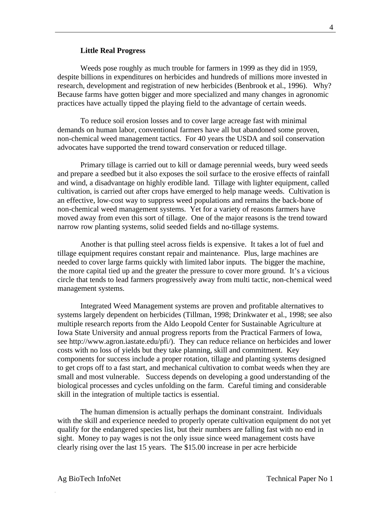#### **Little Real Progress**

Weeds pose roughly as much trouble for farmers in 1999 as they did in 1959, despite billions in expenditures on herbicides and hundreds of millions more invested in research, development and registration of new herbicides (Benbrook et al., 1996). Why? Because farms have gotten bigger and more specialized and many changes in agronomic practices have actually tipped the playing field to the advantage of certain weeds.

To reduce soil erosion losses and to cover large acreage fast with minimal demands on human labor, conventional farmers have all but abandoned some proven, non-chemical weed management tactics. For 40 years the USDA and soil conservation advocates have supported the trend toward conservation or reduced tillage.

Primary tillage is carried out to kill or damage perennial weeds, bury weed seeds and prepare a seedbed but it also exposes the soil surface to the erosive effects of rainfall and wind, a disadvantage on highly erodible land. Tillage with lighter equipment, called cultivation, is carried out after crops have emerged to help manage weeds. Cultivation is an effective, low-cost way to suppress weed populations and remains the back-bone of non-chemical weed management systems. Yet for a variety of reasons farmers have moved away from even this sort of tillage. One of the major reasons is the trend toward narrow row planting systems, solid seeded fields and no-tillage systems.

Another is that pulling steel across fields is expensive. It takes a lot of fuel and tillage equipment requires constant repair and maintenance. Plus, large machines are needed to cover large farms quickly with limited labor inputs. The bigger the machine, the more capital tied up and the greater the pressure to cover more ground. It's a vicious circle that tends to lead farmers progressively away from multi tactic, non-chemical weed management systems.

Integrated Weed Management systems are proven and profitable alternatives to systems largely dependent on herbicides (Tillman, 1998; Drinkwater et al., 1998; see also multiple research reports from the Aldo Leopold Center for Sustainable Agriculture at Iowa State University and annual progress reports from the Practical Farmers of Iowa, see http://www.agron.iastate.edu/pfi/). They can reduce reliance on herbicides and lower costs with no loss of yields but they take planning, skill and commitment. Key components for success include a proper rotation, tillage and planting systems designed to get crops off to a fast start, and mechanical cultivation to combat weeds when they are small and most vulnerable. Success depends on developing a good understanding of the biological processes and cycles unfolding on the farm. Careful timing and considerable skill in the integration of multiple tactics is essential.

The human dimension is actually perhaps the dominant constraint. Individuals with the skill and experience needed to properly operate cultivation equipment do not yet qualify for the endangered species list, but their numbers are falling fast with no end in sight. Money to pay wages is not the only issue since weed management costs have clearly rising over the last 15 years. The \$15.00 increase in per acre herbicide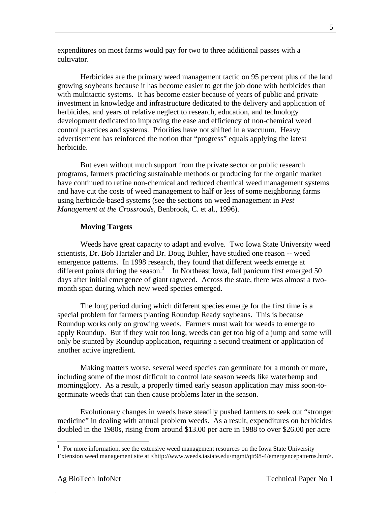expenditures on most farms would pay for two to three additional passes with a cultivator.

Herbicides are the primary weed management tactic on 95 percent plus of the land growing soybeans because it has become easier to get the job done with herbicides than with multitactic systems. It has become easier because of years of public and private investment in knowledge and infrastructure dedicated to the delivery and application of herbicides, and years of relative neglect to research, education, and technology development dedicated to improving the ease and efficiency of non-chemical weed control practices and systems. Priorities have not shifted in a vaccuum. Heavy advertisement has reinforced the notion that "progress" equals applying the latest herbicide.

But even without much support from the private sector or public research programs, farmers practicing sustainable methods or producing for the organic market have continued to refine non-chemical and reduced chemical weed management systems and have cut the costs of weed management to half or less of some neighboring farms using herbicide-based systems (see the sections on weed management in *Pest Management at the Crossroads*, Benbrook, C. et al., 1996).

#### **Moving Targets**

Weeds have great capacity to adapt and evolve. Two Iowa State University weed scientists, Dr. Bob Hartzler and Dr. Doug Buhler, have studied one reason -- weed emergence patterns. In 1998 research, they found that different weeds emerge at different points during the season.<sup>1</sup> In Northeast Iowa, fall panicum first emerged 50 days after initial emergence of giant ragweed. Across the state, there was almost a twomonth span during which new weed species emerged.

The long period during which different species emerge for the first time is a special problem for farmers planting Roundup Ready soybeans. This is because Roundup works only on growing weeds. Farmers must wait for weeds to emerge to apply Roundup. But if they wait too long, weeds can get too big of a jump and some will only be stunted by Roundup application, requiring a second treatment or application of another active ingredient.

Making matters worse, several weed species can germinate for a month or more, including some of the most difficult to control late season weeds like waterhemp and morningglory. As a result, a properly timed early season application may miss soon-togerminate weeds that can then cause problems later in the season.

Evolutionary changes in weeds have steadily pushed farmers to seek out "stronger medicine" in dealing with annual problem weeds. As a result, expenditures on herbicides doubled in the 1980s, rising from around \$13.00 per acre in 1988 to over \$26.00 per acre

 $\overline{a}$ 

<sup>1</sup> For more information, see the extensive weed management resources on the Iowa State University Extension weed management site at <http://www.weeds.iastate.edu/mgmt/qtr98-4/emergencepatterns.htm>.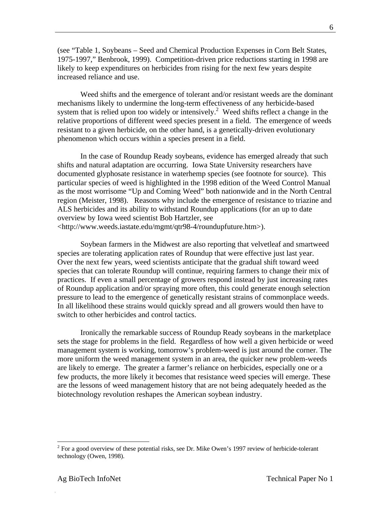(see "Table 1, Soybeans – Seed and Chemical Production Expenses in Corn Belt States, 1975-1997," Benbrook, 1999). Competition-driven price reductions starting in 1998 are likely to keep expenditures on herbicides from rising for the next few years despite increased reliance and use.

Weed shifts and the emergence of tolerant and/or resistant weeds are the dominant mechanisms likely to undermine the long-term effectiveness of any herbicide-based system that is relied upon too widely or intensively.<sup>2</sup> Weed shifts reflect a change in the relative proportions of different weed species present in a field. The emergence of weeds resistant to a given herbicide, on the other hand, is a genetically-driven evolutionary phenomenon which occurs within a species present in a field.

In the case of Roundup Ready soybeans, evidence has emerged already that such shifts and natural adaptation are occurring. Iowa State University researchers have documented glyphosate resistance in waterhemp species (see footnote for source). This particular species of weed is highlighted in the 1998 edition of the Weed Control Manual as the most worrisome "Up and Coming Weed" both nationwide and in the North Central region (Meister, 1998). Reasons why include the emergence of resistance to triazine and ALS herbicides and its ability to withstand Roundup applications (for an up to date overview by Iowa weed scientist Bob Hartzler, see <http://www.weeds.iastate.edu/mgmt/qtr98-4/roundupfuture.htm>).

Soybean farmers in the Midwest are also reporting that velvetleaf and smartweed species are tolerating application rates of Roundup that were effective just last year. Over the next few years, weed scientists anticipate that the gradual shift toward weed species that can tolerate Roundup will continue, requiring farmers to change their mix of practices. If even a small percentage of growers respond instead by just increasing rates of Roundup application and/or spraying more often, this could generate enough selection pressure to lead to the emergence of genetically resistant strains of commonplace weeds. In all likelihood these strains would quickly spread and all growers would then have to switch to other herbicides and control tactics.

Ironically the remarkable success of Roundup Ready soybeans in the marketplace sets the stage for problems in the field. Regardless of how well a given herbicide or weed management system is working, tomorrow's problem-weed is just around the corner. The more uniform the weed management system in an area, the quicker new problem-weeds are likely to emerge. The greater a farmer's reliance on herbicides, especially one or a few products, the more likely it becomes that resistance weed species will emerge. These are the lessons of weed management history that are not being adequately heeded as the biotechnology revolution reshapes the American soybean industry.

<sup>&</sup>lt;sup>2</sup> For a good overview of these potential risks, see Dr. Mike Owen's 1997 review of herbicide-tolerant technology (Owen, 1998).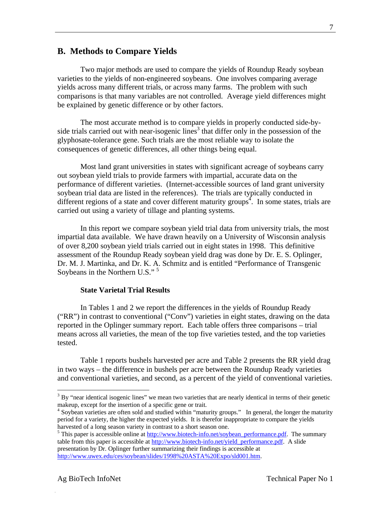## **B. Methods to Compare Yields**

Two major methods are used to compare the yields of Roundup Ready soybean varieties to the yields of non-engineered soybeans. One involves comparing average yields across many different trials, or across many farms. The problem with such comparisons is that many variables are not controlled. Average yield differences might be explained by genetic difference or by other factors.

The most accurate method is to compare yields in properly conducted side-byside trials carried out with near-isogenic lines<sup>3</sup> that differ only in the possession of the glyphosate-tolerance gene. Such trials are the most reliable way to isolate the consequences of genetic differences, all other things being equal.

Most land grant universities in states with significant acreage of soybeans carry out soybean yield trials to provide farmers with impartial, accurate data on the performance of different varieties. (Internet-accessible sources of land grant university soybean trial data are listed in the references). The trials are typically conducted in different regions of a state and cover different maturity groups<sup>4</sup>. In some states, trials are carried out using a variety of tillage and planting systems.

In this report we compare soybean yield trial data from university trials, the most impartial data available. We have drawn heavily on a University of Wisconsin analysis of over 8,200 soybean yield trials carried out in eight states in 1998. This definitive assessment of the Roundup Ready soybean yield drag was done by Dr. E. S. Oplinger, Dr. M. J. Martinka, and Dr. K. A. Schmitz and is entitled "Performance of Transgenic Soybeans in the Northern U.S."<sup>5</sup>

#### **State Varietal Trial Results**

In Tables 1 and 2 we report the differences in the yields of Roundup Ready ("RR") in contrast to conventional ("Conv") varieties in eight states, drawing on the data reported in the Oplinger summary report. Each table offers three comparisons – trial means across all varieties, the mean of the top five varieties tested, and the top varieties tested.

Table 1 reports bushels harvested per acre and Table 2 presents the RR yield drag in two ways – the difference in bushels per acre between the Roundup Ready varieties and conventional varieties, and second, as a percent of the yield of conventional varieties.

<u>.</u>

 $3$  By "near identical isogenic lines" we mean two varieties that are nearly identical in terms of their genetic makeup, except for the insertion of a specific gene or trait.

<sup>&</sup>lt;sup>4</sup> Soybean varieties are often sold and studied within "maturity groups." In general, the longer the maturity period for a variety, the higher the expected yields. It is therefor inappropriate to compare the yields harvested of a long season variety in contrast to a short season one.

<sup>&</sup>lt;sup>5</sup> This paper is accessible online at  $\frac{http://www.biotech-info.net/soybean{\cdot}performance.pdf}{http://www.biotech-info.net/soybean{\cdot}performance.pdf}$ . The summary table from this paper is accessible at http://www.biotech-info.net/yield\_performance.pdf. A slide presentation by Dr. Oplinger further summarizing their findings is accessible at http://www.uwex.edu/ces/soybean/slides/1998%20ASTA%20Expo/sld001.htm.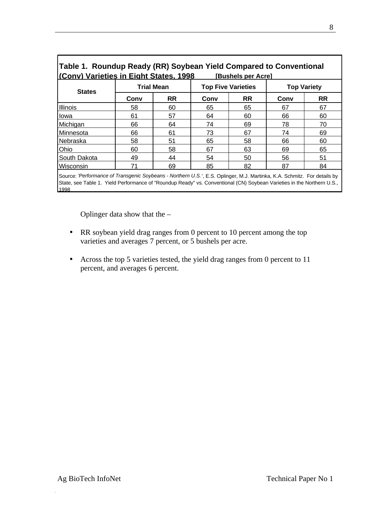| Table 1. Roundup Ready (RR) Soybean Yield Compared to Conventional |                   |           |      |                           |      |                    |  |  |
|--------------------------------------------------------------------|-------------------|-----------|------|---------------------------|------|--------------------|--|--|
| (Conv) Varieties in Eight States, 1998<br>[Bushels per Acre]       |                   |           |      |                           |      |                    |  |  |
| <b>States</b>                                                      | <b>Trial Mean</b> |           |      | <b>Top Five Varieties</b> |      | <b>Top Variety</b> |  |  |
|                                                                    | Conv              | <b>RR</b> | Conv | <b>RR</b>                 | Conv | <b>RR</b>          |  |  |
| Illinois                                                           | 58                | 60        | 65   | 65                        | 67   | 67                 |  |  |
| lowa                                                               | 61                | 57        | 64   | 60                        | 66   | 60                 |  |  |
| Michigan                                                           | 66                | 64        | 74   | 69                        | 78   | 70                 |  |  |
| Minnesota                                                          | 66                | 61        | 73   | 67                        | 74   | 69                 |  |  |
| Nebraska                                                           | 58                | 51        | 65   | 58                        | 66   | 60                 |  |  |
| Ohio                                                               | 60                | 58        | 67   | 63                        | 69   | 65                 |  |  |
| South Dakota                                                       | 49                | 44        | 54   | 50                        | 56   | 51                 |  |  |
| Wisconsin                                                          | 71                | 69        | 85   | 82                        | 87   | 84                 |  |  |

Source: *'Performance of Transgenic Soybeans - Northern U.S.*', E.S. Oplinger, M.J. Martinka, K.A. Schmitz. For details by State, see Table 1. Yield Performance of "Roundup Ready" vs. Conventional (CN) Soybean Varieties in the Northern U.S., 1998

Oplinger data show that the –

- RR soybean yield drag ranges from 0 percent to 10 percent among the top varieties and averages 7 percent, or 5 bushels per acre.
- Across the top 5 varieties tested, the yield drag ranges from 0 percent to 11 percent, and averages 6 percent.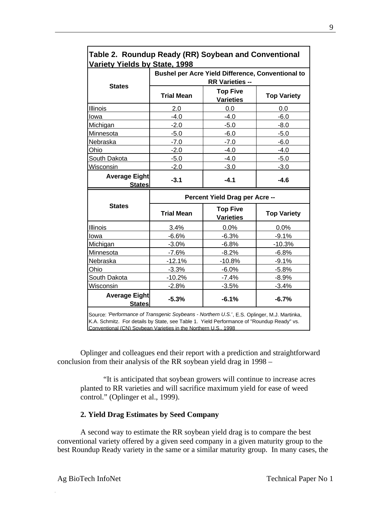| Variety Yields by State, 1998                            |                                |                                     |                    |  |  |  |  |
|----------------------------------------------------------|--------------------------------|-------------------------------------|--------------------|--|--|--|--|
| <b>Bushel per Acre Yield Difference, Conventional to</b> |                                |                                     |                    |  |  |  |  |
|                                                          | <b>RR Varieties --</b>         |                                     |                    |  |  |  |  |
| <b>States</b>                                            | <b>Trial Mean</b>              | <b>Top Five</b><br><b>Varieties</b> | <b>Top Variety</b> |  |  |  |  |
| <b>Illinois</b>                                          | 2.0                            | 0.0                                 | 0.0                |  |  |  |  |
| lowa                                                     | $-4.0$                         | $-4.0$                              | $-6.0$             |  |  |  |  |
| Michigan                                                 | $-2.0$                         | $-5.0$                              | $-8.0$             |  |  |  |  |
| Minnesota                                                | $-5.0$                         | $-6.0$                              | $-5.0$             |  |  |  |  |
| Nebraska                                                 | $-7.0$                         | $-7.0$                              | $-6.0$             |  |  |  |  |
| Ohio                                                     | $-2.0$                         | $-4.0$                              | $-4.0$             |  |  |  |  |
| South Dakota                                             | $-5.0$                         | $-4.0$                              | $-5.0$             |  |  |  |  |
| <b>Wisconsin</b>                                         | $-2.0$                         | $-3.0$                              | $-3.0$             |  |  |  |  |
| <b>Average Eight</b><br><b>States</b>                    | $-3.1$                         | $-4.1$                              | $-4.6$             |  |  |  |  |
|                                                          | Percent Yield Drag per Acre -- |                                     |                    |  |  |  |  |
| <b>States</b>                                            | <b>Trial Mean</b>              | <b>Top Five</b><br><b>Varieties</b> | <b>Top Variety</b> |  |  |  |  |
| Illinois                                                 | 3.4%                           | 0.0%                                | 0.0%               |  |  |  |  |
| lowa                                                     | $-6.6%$                        | $-6.3%$                             | $-9.1%$            |  |  |  |  |
| Michigan                                                 | $-3.0%$                        | $-6.8%$                             | $-10.3%$           |  |  |  |  |
| Minnesota                                                | $-7.6%$                        | $-8.2%$                             | $-6.8%$            |  |  |  |  |
| Nebraska                                                 | $-12.1%$                       | $-10.8%$                            |                    |  |  |  |  |
|                                                          |                                |                                     | $-9.1%$            |  |  |  |  |
| Ohio                                                     | $-3.3%$                        | $-6.0%$                             | $-5.8%$            |  |  |  |  |
| South Dakota                                             | $-10.2%$                       | $-7.4%$                             | $-8.9%$            |  |  |  |  |
| Wisconsin                                                | $-2.8%$                        | $-3.5%$                             | $-3.4%$            |  |  |  |  |
| <b>Average Eight</b><br><b>States</b>                    | $-5.3%$                        | $-6.1%$                             | $-6.7%$            |  |  |  |  |

# **Table 2. Roundup Ready (RR) Soybean and Conventional**

Oplinger and colleagues end their report with a prediction and straightforward conclusion from their analysis of the RR soybean yield drag in 1998 –

"It is anticipated that soybean growers will continue to increase acres planted to RR varieties and will sacrifice maximum yield for ease of weed control." (Oplinger et al., 1999).

#### **2. Yield Drag Estimates by Seed Company**

A second way to estimate the RR soybean yield drag is to compare the best conventional variety offered by a given seed company in a given maturity group to the best Roundup Ready variety in the same or a similar maturity group. In many cases, the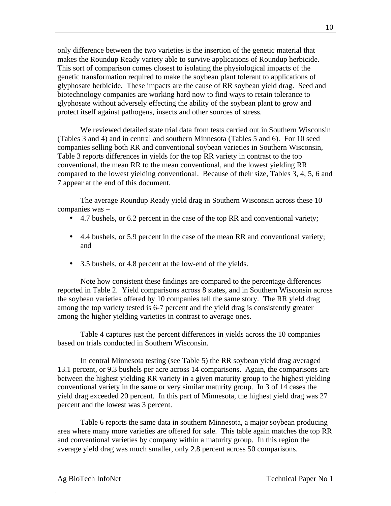only difference between the two varieties is the insertion of the genetic material that makes the Roundup Ready variety able to survive applications of Roundup herbicide. This sort of comparison comes closest to isolating the physiological impacts of the genetic transformation required to make the soybean plant tolerant to applications of glyphosate herbicide. These impacts are the cause of RR soybean yield drag. Seed and biotechnology companies are working hard now to find ways to retain tolerance to glyphosate without adversely effecting the ability of the soybean plant to grow and protect itself against pathogens, insects and other sources of stress.

We reviewed detailed state trial data from tests carried out in Southern Wisconsin (Tables 3 and 4) and in central and southern Minnesota (Tables 5 and 6). For 10 seed companies selling both RR and conventional soybean varieties in Southern Wisconsin, Table 3 reports differences in yields for the top RR variety in contrast to the top conventional, the mean RR to the mean conventional, and the lowest yielding RR compared to the lowest yielding conventional. Because of their size, Tables 3, 4, 5, 6 and 7 appear at the end of this document.

The average Roundup Ready yield drag in Southern Wisconsin across these 10 companies was –

- 4.7 bushels, or 6.2 percent in the case of the top RR and conventional variety;
- 4.4 bushels, or 5.9 percent in the case of the mean RR and conventional variety; and
- 3.5 bushels, or 4.8 percent at the low-end of the yields.

Note how consistent these findings are compared to the percentage differences reported in Table 2. Yield comparisons across 8 states, and in Southern Wisconsin across the soybean varieties offered by 10 companies tell the same story. The RR yield drag among the top variety tested is 6-7 percent and the yield drag is consistently greater among the higher yielding varieties in contrast to average ones.

Table 4 captures just the percent differences in yields across the 10 companies based on trials conducted in Southern Wisconsin.

In central Minnesota testing (see Table 5) the RR soybean yield drag averaged 13.1 percent, or 9.3 bushels per acre across 14 comparisons. Again, the comparisons are between the highest yielding RR variety in a given maturity group to the highest yielding conventional variety in the same or very similar maturity group. In 3 of 14 cases the yield drag exceeded 20 percent. In this part of Minnesota, the highest yield drag was 27 percent and the lowest was 3 percent.

Table 6 reports the same data in southern Minnesota, a major soybean producing area where many more varieties are offered for sale. This table again matches the top RR and conventional varieties by company within a maturity group. In this region the average yield drag was much smaller, only 2.8 percent across 50 comparisons.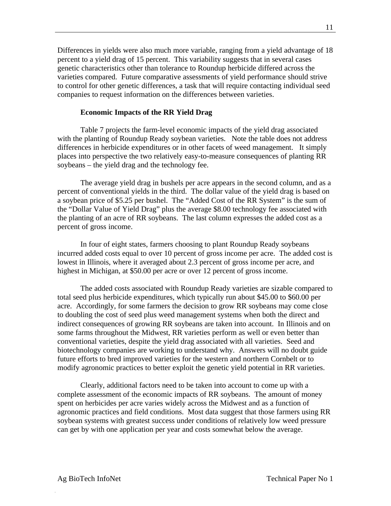Differences in yields were also much more variable, ranging from a yield advantage of 18 percent to a yield drag of 15 percent. This variability suggests that in several cases genetic characteristics other than tolerance to Roundup herbicide differed across the varieties compared. Future comparative assessments of yield performance should strive to control for other genetic differences, a task that will require contacting individual seed companies to request information on the differences between varieties.

#### **Economic Impacts of the RR Yield Drag**

Table 7 projects the farm-level economic impacts of the yield drag associated with the planting of Roundup Ready soybean varieties. Note the table does not address differences in herbicide expenditures or in other facets of weed management. It simply places into perspective the two relatively easy-to-measure consequences of planting RR soybeans – the yield drag and the technology fee.

The average yield drag in bushels per acre appears in the second column, and as a percent of conventional yields in the third. The dollar value of the yield drag is based on a soybean price of \$5.25 per bushel. The "Added Cost of the RR System" is the sum of the "Dollar Value of Yield Drag" plus the average \$8.00 technology fee associated with the planting of an acre of RR soybeans. The last column expresses the added cost as a percent of gross income.

In four of eight states, farmers choosing to plant Roundup Ready soybeans incurred added costs equal to over 10 percent of gross income per acre. The added cost is lowest in Illinois, where it averaged about 2.3 percent of gross income per acre, and highest in Michigan, at \$50.00 per acre or over 12 percent of gross income.

The added costs associated with Roundup Ready varieties are sizable compared to total seed plus herbicide expenditures, which typically run about \$45.00 to \$60.00 per acre. Accordingly, for some farmers the decision to grow RR soybeans may come close to doubling the cost of seed plus weed management systems when both the direct and indirect consequences of growing RR soybeans are taken into account. In Illinois and on some farms throughout the Midwest, RR varieties perform as well or even better than conventional varieties, despite the yield drag associated with all varieties. Seed and biotechnology companies are working to understand why. Answers will no doubt guide future efforts to bred improved varieties for the western and northern Cornbelt or to modify agronomic practices to better exploit the genetic yield potential in RR varieties.

Clearly, additional factors need to be taken into account to come up with a complete assessment of the economic impacts of RR soybeans. The amount of money spent on herbicides per acre varies widely across the Midwest and as a function of agronomic practices and field conditions. Most data suggest that those farmers using RR soybean systems with greatest success under conditions of relatively low weed pressure can get by with one application per year and costs somewhat below the average.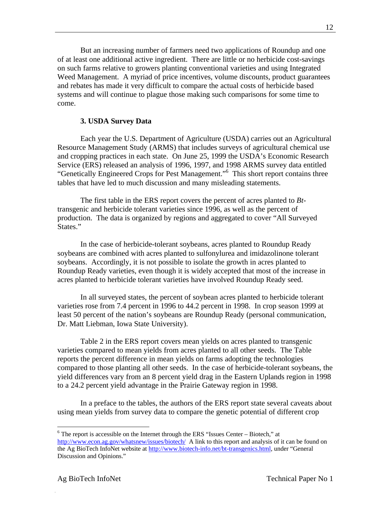But an increasing number of farmers need two applications of Roundup and one of at least one additional active ingredient. There are little or no herbicide cost-savings on such farms relative to growers planting conventional varieties and using Integrated Weed Management. A myriad of price incentives, volume discounts, product guarantees and rebates has made it very difficult to compare the actual costs of herbicide based systems and will continue to plague those making such comparisons for some time to come.

#### **3. USDA Survey Data**

Each year the U.S. Department of Agriculture (USDA) carries out an Agricultural Resource Management Study (ARMS) that includes surveys of agricultural chemical use and cropping practices in each state. On June 25, 1999 the USDA's Economic Research Service (ERS) released an analysis of 1996, 1997, and 1998 ARMS survey data entitled "Genetically Engineered Crops for Pest Management."<sup>6</sup> This short report contains three tables that have led to much discussion and many misleading statements.

The first table in the ERS report covers the percent of acres planted to *Bt*transgenic and herbicide tolerant varieties since 1996, as well as the percent of production. The data is organized by regions and aggregated to cover "All Surveyed States."

In the case of herbicide-tolerant soybeans, acres planted to Roundup Ready soybeans are combined with acres planted to sulfonylurea and imidazolinone tolerant soybeans. Accordingly, it is not possible to isolate the growth in acres planted to Roundup Ready varieties, even though it is widely accepted that most of the increase in acres planted to herbicide tolerant varieties have involved Roundup Ready seed.

In all surveyed states, the percent of soybean acres planted to herbicide tolerant varieties rose from 7.4 percent in 1996 to 44.2 percent in 1998. In crop season 1999 at least 50 percent of the nation's soybeans are Roundup Ready (personal communication, Dr. Matt Liebman, Iowa State University).

Table 2 in the ERS report covers mean yields on acres planted to transgenic varieties compared to mean yields from acres planted to all other seeds. The Table reports the percent difference in mean yields on farms adopting the technologies compared to those planting all other seeds. In the case of herbicide-tolerant soybeans, the yield differences vary from an 8 percent yield drag in the Eastern Uplands region in 1998 to a 24.2 percent yield advantage in the Prairie Gateway region in 1998.

In a preface to the tables, the authors of the ERS report state several caveats about using mean yields from survey data to compare the genetic potential of different crop

 6 The report is accessible on the Internet through the ERS "Issues Center – Biotech," at http://www.econ.ag.gov/whatsnew/issues/biotech/ A link to this report and analysis of it can be found on the Ag BioTech InfoNet website at http://www.biotech-info.net/bt-transgenics.html, under "General Discussion and Opinions."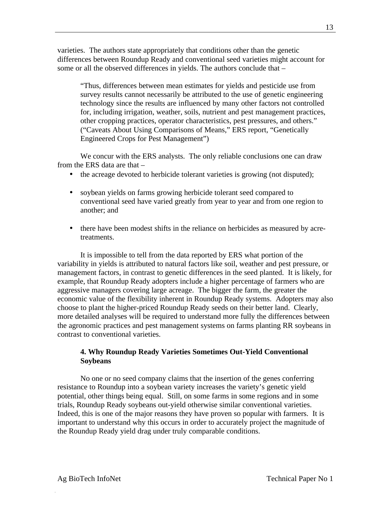varieties. The authors state appropriately that conditions other than the genetic differences between Roundup Ready and conventional seed varieties might account for some or all the observed differences in yields. The authors conclude that –

"Thus, differences between mean estimates for yields and pesticide use from survey results cannot necessarily be attributed to the use of genetic engineering technology since the results are influenced by many other factors not controlled for, including irrigation, weather, soils, nutrient and pest management practices, other cropping practices, operator characteristics, pest pressures, and others." ("Caveats About Using Comparisons of Means," ERS report, "Genetically Engineered Crops for Pest Management")

We concur with the ERS analysts. The only reliable conclusions one can draw from the ERS data are that –

- the acreage devoted to herbicide tolerant varieties is growing (not disputed);
- soybean yields on farms growing herbicide tolerant seed compared to conventional seed have varied greatly from year to year and from one region to another; and
- there have been modest shifts in the reliance on herbicides as measured by acretreatments.

It is impossible to tell from the data reported by ERS what portion of the variability in yields is attributed to natural factors like soil, weather and pest pressure, or management factors, in contrast to genetic differences in the seed planted. It is likely, for example, that Roundup Ready adopters include a higher percentage of farmers who are aggressive managers covering large acreage. The bigger the farm, the greater the economic value of the flexibility inherent in Roundup Ready systems. Adopters may also choose to plant the higher-priced Roundup Ready seeds on their better land. Clearly, more detailed analyses will be required to understand more fully the differences between the agronomic practices and pest management systems on farms planting RR soybeans in contrast to conventional varieties.

## **4. Why Roundup Ready Varieties Sometimes Out-Yield Conventional Soybeans**

No one or no seed company claims that the insertion of the genes conferring resistance to Roundup into a soybean variety increases the variety's genetic yield potential, other things being equal. Still, on some farms in some regions and in some trials, Roundup Ready soybeans out-yield otherwise similar conventional varieties. Indeed, this is one of the major reasons they have proven so popular with farmers. It is important to understand why this occurs in order to accurately project the magnitude of the Roundup Ready yield drag under truly comparable conditions.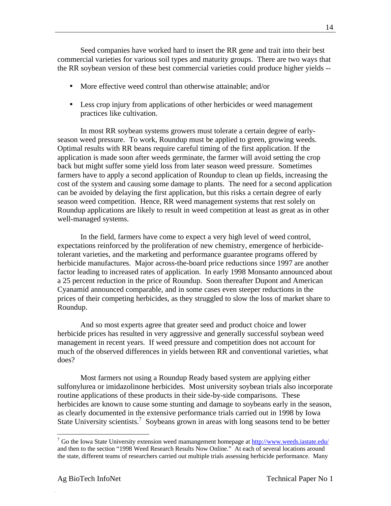Seed companies have worked hard to insert the RR gene and trait into their best commercial varieties for various soil types and maturity groups. There are two ways that the RR soybean version of these best commercial varieties could produce higher yields --

- More effective weed control than otherwise attainable: and/or
- Less crop injury from applications of other herbicides or weed management practices like cultivation.

In most RR soybean systems growers must tolerate a certain degree of earlyseason weed pressure. To work, Roundup must be applied to green, growing weeds. Optimal results with RR beans require careful timing of the first application. If the application is made soon after weeds germinate, the farmer will avoid setting the crop back but might suffer some yield loss from later season weed pressure. Sometimes farmers have to apply a second application of Roundup to clean up fields, increasing the cost of the system and causing some damage to plants. The need for a second application can be avoided by delaying the first application, but this risks a certain degree of early season weed competition. Hence, RR weed management systems that rest solely on Roundup applications are likely to result in weed competition at least as great as in other well-managed systems.

In the field, farmers have come to expect a very high level of weed control, expectations reinforced by the proliferation of new chemistry, emergence of herbicidetolerant varieties, and the marketing and performance guarantee programs offered by herbicide manufactures. Major across-the-board price reductions since 1997 are another factor leading to increased rates of application. In early 1998 Monsanto announced about a 25 percent reduction in the price of Roundup. Soon thereafter Dupont and American Cyanamid announced comparable, and in some cases even steeper reductions in the prices of their competing herbicides, as they struggled to slow the loss of market share to Roundup.

And so most experts agree that greater seed and product choice and lower herbicide prices has resulted in very aggressive and generally successful soybean weed management in recent years. If weed pressure and competition does not account for much of the observed differences in yields between RR and conventional varieties, what does?

Most farmers not using a Roundup Ready based system are applying either sulfonylurea or imidazolinone herbicides. Most university soybean trials also incorporate routine applications of these products in their side-by-side comparisons. These herbicides are known to cause some stunting and damage to soybeans early in the season, as clearly documented in the extensive performance trials carried out in 1998 by Iowa State University scientists.<sup>7</sup> Soybeans grown in areas with long seasons tend to be better

 $\overline{a}$ 

<sup>&</sup>lt;sup>7</sup> Go the Iowa State University extension weed mamangement homepage at **http://www.weeds.iastate.edu/** and then to the section "1998 Weed Research Results Now Online." At each of several locations around the state, different teams of researchers carried out multiple trials assessing herbicide performance. Many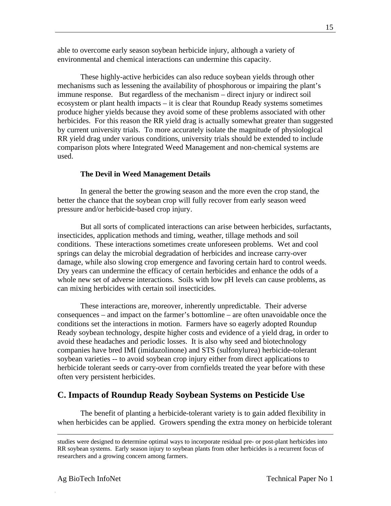able to overcome early season soybean herbicide injury, although a variety of environmental and chemical interactions can undermine this capacity.

These highly-active herbicides can also reduce soybean yields through other mechanisms such as lessening the availability of phosphorous or impairing the plant's immune response. But regardless of the mechanism – direct injury or indirect soil ecosystem or plant health impacts – it is clear that Roundup Ready systems sometimes produce higher yields because they avoid some of these problems associated with other herbicides. For this reason the RR yield drag is actually somewhat greater than suggested by current university trials. To more accurately isolate the magnitude of physiological RR yield drag under various conditions, university trials should be extended to include comparison plots where Integrated Weed Management and non-chemical systems are used.

## **The Devil in Weed Management Details**

In general the better the growing season and the more even the crop stand, the better the chance that the soybean crop will fully recover from early season weed pressure and/or herbicide-based crop injury.

But all sorts of complicated interactions can arise between herbicides, surfactants, insecticides, application methods and timing, weather, tillage methods and soil conditions. These interactions sometimes create unforeseen problems. Wet and cool springs can delay the microbial degradation of herbicides and increase carry-over damage, while also slowing crop emergence and favoring certain hard to control weeds. Dry years can undermine the efficacy of certain herbicides and enhance the odds of a whole new set of adverse interactions. Soils with low pH levels can cause problems, as can mixing herbicides with certain soil insecticides.

These interactions are, moreover, inherently unpredictable. Their adverse consequences – and impact on the farmer's bottomline – are often unavoidable once the conditions set the interactions in motion. Farmers have so eagerly adopted Roundup Ready soybean technology, despite higher costs and evidence of a yield drag, in order to avoid these headaches and periodic losses. It is also why seed and biotechnology companies have bred IMI (imidazolinone) and STS (sulfonylurea) herbicide-tolerant soybean varieties -- to avoid soybean crop injury either from direct applications to herbicide tolerant seeds or carry-over from cornfields treated the year before with these often very persistent herbicides.

## **C. Impacts of Roundup Ready Soybean Systems on Pesticide Use**

The benefit of planting a herbicide-tolerant variety is to gain added flexibility in when herbicides can be applied. Growers spending the extra money on herbicide tolerant

-

studies were designed to determine optimal ways to incorporate residual pre- or post-plant herbicides into RR soybean systems. Early season injury to soybean plants from other herbicides is a recurrent focus of researchers and a growing concern among farmers.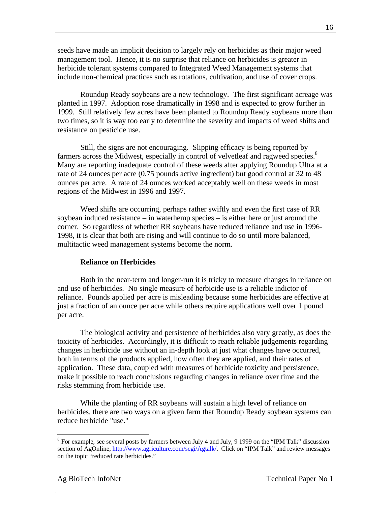seeds have made an implicit decision to largely rely on herbicides as their major weed management tool. Hence, it is no surprise that reliance on herbicides is greater in herbicide tolerant systems compared to Integrated Weed Management systems that include non-chemical practices such as rotations, cultivation, and use of cover crops.

Roundup Ready soybeans are a new technology. The first significant acreage was planted in 1997. Adoption rose dramatically in 1998 and is expected to grow further in 1999. Still relatively few acres have been planted to Roundup Ready soybeans more than two times, so it is way too early to determine the severity and impacts of weed shifts and resistance on pesticide use.

Still, the signs are not encouraging. Slipping efficacy is being reported by farmers across the Midwest, especially in control of velvetleaf and ragweed species. $8$ Many are reporting inadequate control of these weeds after applying Roundup Ultra at a rate of 24 ounces per acre (0.75 pounds active ingredient) but good control at 32 to 48 ounces per acre. A rate of 24 ounces worked acceptably well on these weeds in most regions of the Midwest in 1996 and 1997.

Weed shifts are occurring, perhaps rather swiftly and even the first case of RR soybean induced resistance – in waterhemp species – is either here or just around the corner. So regardless of whether RR soybeans have reduced reliance and use in 1996- 1998, it is clear that both are rising and will continue to do so until more balanced, multitactic weed management systems become the norm.

#### **Reliance on Herbicides**

Both in the near-term and longer-run it is tricky to measure changes in reliance on and use of herbicides. No single measure of herbicide use is a reliable indictor of reliance. Pounds applied per acre is misleading because some herbicides are effective at just a fraction of an ounce per acre while others require applications well over 1 pound per acre.

The biological activity and persistence of herbicides also vary greatly, as does the toxicity of herbicides. Accordingly, it is difficult to reach reliable judgements regarding changes in herbicide use without an in-depth look at just what changes have occurred, both in terms of the products applied, how often they are applied, and their rates of application. These data, coupled with measures of herbicide toxicity and persistence, make it possible to reach conclusions regarding changes in reliance over time and the risks stemming from herbicide use.

While the planting of RR soybeans will sustain a high level of reliance on herbicides, there are two ways on a given farm that Roundup Ready soybean systems can reduce herbicide "use."

 $\overline{a}$ 

 $8$  For example, see several posts by farmers between July 4 and July, 9 1999 on the "IPM Talk" discussion section of AgOnline, http://www.agriculture.com/scgi/Agtalk/. Click on "IPM Talk" and review messages on the topic "reduced rate herbicides."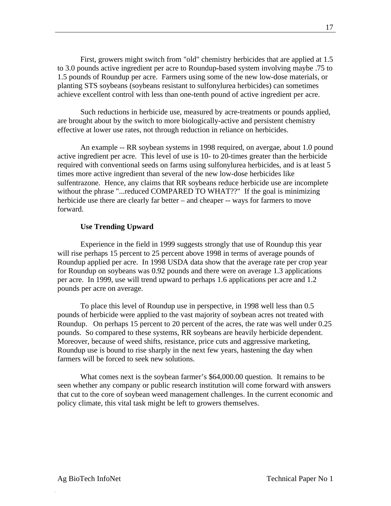First, growers might switch from "old" chemistry herbicides that are applied at 1.5 to 3.0 pounds active ingredient per acre to Roundup-based system involving maybe .75 to 1.5 pounds of Roundup per acre. Farmers using some of the new low-dose materials, or planting STS soybeans (soybeans resistant to sulfonylurea herbicides) can sometimes achieve excellent control with less than one-tenth pound of active ingredient per acre.

Such reductions in herbicide use, measured by acre-treatments or pounds applied, are brought about by the switch to more biologically-active and persistent chemistry effective at lower use rates, not through reduction in reliance on herbicides.

An example -- RR soybean systems in 1998 required, on avergae, about 1.0 pound active ingredient per acre. This level of use is 10- to 20-times greater than the herbicide required with conventional seeds on farms using sulfonylurea herbicides, and is at least 5 times more active ingredient than several of the new low-dose herbicides like sulfentrazone. Hence, any claims that RR soybeans reduce herbicide use are incomplete without the phrase "...reduced COMPARED TO WHAT??" If the goal is minimizing herbicide use there are clearly far better – and cheaper -- ways for farmers to move forward.

#### **Use Trending Upward**

Experience in the field in 1999 suggests strongly that use of Roundup this year will rise perhaps 15 percent to 25 percent above 1998 in terms of average pounds of Roundup applied per acre. In 1998 USDA data show that the average rate per crop year for Roundup on soybeans was 0.92 pounds and there were on average 1.3 applications per acre. In 1999, use will trend upward to perhaps 1.6 applications per acre and 1.2 pounds per acre on average.

To place this level of Roundup use in perspective, in 1998 well less than 0.5 pounds of herbicide were applied to the vast majority of soybean acres not treated with Roundup. On perhaps 15 percent to 20 percent of the acres, the rate was well under 0.25 pounds. So compared to these systems, RR soybeans are heavily herbicide dependent. Moreover, because of weed shifts, resistance, price cuts and aggressive marketing, Roundup use is bound to rise sharply in the next few years, hastening the day when farmers will be forced to seek new solutions.

What comes next is the soybean farmer's \$64,000.00 question. It remains to be seen whether any company or public research institution will come forward with answers that cut to the core of soybean weed management challenges. In the current economic and policy climate, this vital task might be left to growers themselves.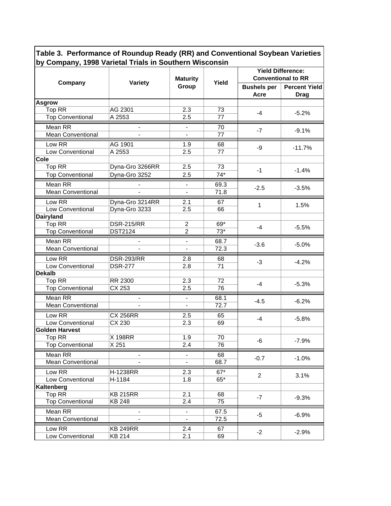**Table 3. Performance of Roundup Ready (RR) and Conventional Soybean Varieties by Company, 1998 Varietal Trials in Southern Wisconsin**

|                          |                              | <b>Maturity</b>              |       | <b>Yield Difference:</b><br><b>Conventional to RR</b> |                                     |
|--------------------------|------------------------------|------------------------------|-------|-------------------------------------------------------|-------------------------------------|
| Company                  | Variety                      | Group                        | Yield | <b>Bushels per</b><br>Acre                            | <b>Percent Yield</b><br><b>Drag</b> |
| <b>Asgrow</b>            |                              |                              |       |                                                       |                                     |
| Top RR                   | AG 2301                      | 2.3                          | 73    | $-4$                                                  | $-5.2%$                             |
| <b>Top Conventional</b>  | A 2553                       | 2.5                          | 77    |                                                       |                                     |
| Mean RR                  | $\blacksquare$               |                              | 70    | $-7$                                                  | $-9.1%$                             |
| <b>Mean Conventional</b> | $\blacksquare$               | $\blacksquare$               | 77    |                                                       |                                     |
| Low RR                   | AG 1901                      | 1.9                          | 68    | -9                                                    | $-11.7%$                            |
| Low Conventional         | A 2553                       | 2.5                          | 77    |                                                       |                                     |
| Cole                     |                              |                              |       |                                                       |                                     |
| Top RR                   | Dyna-Gro 3266RR              | 2.5                          | 73    | $-1$                                                  | $-1.4%$                             |
| <b>Top Conventional</b>  | Dyna-Gro 3252                | 2.5                          | $74*$ |                                                       |                                     |
| Mean RR                  |                              |                              | 69.3  | $-2.5$                                                | $-3.5%$                             |
| <b>Mean Conventional</b> | $\blacksquare$               | $\blacksquare$               | 71.8  |                                                       |                                     |
| Low RR                   | Dyna-Gro 3214RR              | 2.1                          | 67    |                                                       |                                     |
| Low Conventional         | Dyna-Gro 3233                | 2.5                          | 66    | 1                                                     | 1.5%                                |
| <b>Dairyland</b>         |                              |                              |       |                                                       |                                     |
| Top RR                   | <b>DSR-215/RR</b>            | $\overline{2}$               | 69*   | $-4$                                                  | $-5.5%$                             |
| <b>Top Conventional</b>  | <b>DST2124</b>               | $\overline{c}$               | $73*$ |                                                       |                                     |
| Mean RR                  |                              |                              | 68.7  |                                                       |                                     |
| <b>Mean Conventional</b> |                              |                              | 72.3  | $-3.6$                                                | $-5.0%$                             |
| Low RR                   | <b>DSR-293/RR</b>            | 2.8                          | 68    |                                                       | $-4.2%$                             |
| Low Conventional         | <b>DSR-277</b>               | 2.8                          | 71    | $-3$                                                  |                                     |
| <b>Dekalb</b>            |                              |                              |       |                                                       |                                     |
| Top RR                   | RR 2300                      | 2.3                          | 72    | $-4$                                                  | $-5.3%$                             |
| <b>Top Conventional</b>  | CX 253                       | 2.5                          | 76    |                                                       |                                     |
| Mean RR                  | $\overline{\phantom{0}}$     | ÷.                           | 68.1  | $-4.5$                                                | $-6.2%$                             |
| <b>Mean Conventional</b> |                              | $\blacksquare$               | 72.7  |                                                       |                                     |
| Low RR                   | <b>CX 256RR</b>              | 2.5                          | 65    |                                                       |                                     |
| Low Conventional         | CX 230                       | 2.3                          | 69    | $-4$                                                  | $-5.8%$                             |
| <b>Golden Harvest</b>    |                              |                              |       |                                                       |                                     |
| Top RR                   | X 198RR                      | 1.9                          | 70    | -6                                                    | $-7.9%$                             |
| <b>Top Conventional</b>  | X 251                        | 2.4                          | 76    |                                                       |                                     |
| Mean RR                  | $\qquad \qquad \blacksquare$ | $\overline{\phantom{a}}$     | 68    | $-0.7$                                                | $-1.0%$                             |
| <b>Mean Conventional</b> |                              | $\blacksquare$               | 68.7  |                                                       |                                     |
| Low RR                   | H-1238RR                     | 2.3                          | $67*$ |                                                       |                                     |
| Low Conventional         | H-1184                       | 1.8                          | $65*$ | $\overline{2}$                                        | 3.1%                                |
| Kaltenberg               |                              |                              |       |                                                       |                                     |
| Top RR                   | <b>KB 215RR</b>              | 2.1                          | 68    | $-7$                                                  | $-9.3%$                             |
| <b>Top Conventional</b>  | <b>KB 248</b>                | 2.4                          | 75    |                                                       |                                     |
| Mean RR                  |                              | $\overline{\phantom{a}}$     | 67.5  | $-5$                                                  | $-6.9%$                             |
| <b>Mean Conventional</b> | $\frac{1}{2}$                | $\qquad \qquad \blacksquare$ | 72.5  |                                                       |                                     |
| Low RR                   | <b>KB 249RR</b>              | 2.4                          | 67    |                                                       |                                     |
| Low Conventional         | KB 214                       | 2.1                          | 69    | $-2$                                                  | $-2.9%$                             |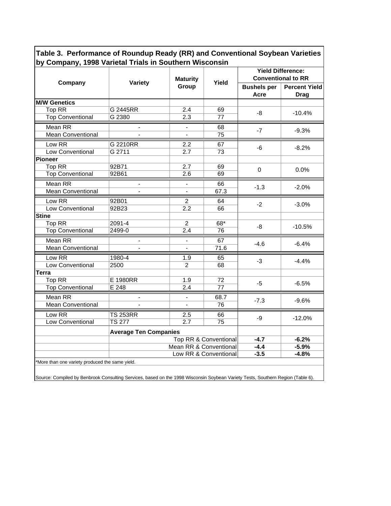**Table 3. Performance of Roundup Ready (RR) and Conventional Soybean Varieties by Company, 1998 Varietal Trials in Southern Wisconsin**

|                          |                                                                         | <b>Maturity</b>          |         | <b>Yield Difference:</b><br><b>Conventional to RR</b> |                                     |  |  |  |
|--------------------------|-------------------------------------------------------------------------|--------------------------|---------|-------------------------------------------------------|-------------------------------------|--|--|--|
| Company                  | Variety                                                                 | Group                    | Yield   | <b>Bushels per</b><br><b>Acre</b>                     | <b>Percent Yield</b><br><b>Drag</b> |  |  |  |
| <b>M/W Genetics</b>      |                                                                         |                          |         |                                                       |                                     |  |  |  |
| Top RR                   | G 2445RR                                                                | 2.4                      | 69      | -8                                                    | $-10.4%$                            |  |  |  |
| <b>Top Conventional</b>  | G 2380                                                                  | 2.3                      | 77      |                                                       |                                     |  |  |  |
| Mean RR                  |                                                                         |                          | 68      |                                                       |                                     |  |  |  |
| <b>Mean Conventional</b> | $\overline{a}$                                                          | $\overline{a}$           | 75      | $-7$                                                  | $-9.3%$                             |  |  |  |
| Low RR                   | G 2210RR                                                                | 2.2                      | 67      |                                                       |                                     |  |  |  |
| Low Conventional         | G 2711                                                                  | 2.7                      | 73      | -6                                                    | $-8.2%$                             |  |  |  |
| Pioneer                  |                                                                         |                          |         |                                                       |                                     |  |  |  |
| Top RR                   | 92B71                                                                   | 2.7                      | 69      | 0                                                     | $0.0\%$                             |  |  |  |
| <b>Top Conventional</b>  | 92B61                                                                   | 2.6                      | 69      |                                                       |                                     |  |  |  |
| Mean RR                  | $\blacksquare$                                                          | $\blacksquare$           | 66      | $-1.3$                                                | $-2.0%$                             |  |  |  |
| <b>Mean Conventional</b> |                                                                         | $\blacksquare$           | 67.3    |                                                       |                                     |  |  |  |
| Low RR                   | 92B01                                                                   | $\mathfrak{p}$           | 64      |                                                       |                                     |  |  |  |
| <b>Low Conventional</b>  | 92B23                                                                   | 2.2                      | 66      | $-2$                                                  | $-3.0%$                             |  |  |  |
| <b>Stine</b>             |                                                                         |                          |         |                                                       |                                     |  |  |  |
| Top RR                   | 2091-4                                                                  | $\overline{2}$           | 68*     | -8                                                    | $-10.5%$                            |  |  |  |
| <b>Top Conventional</b>  | 2499-0                                                                  | 2.4                      | 76      |                                                       |                                     |  |  |  |
| Mean RR                  |                                                                         | $\overline{\phantom{a}}$ | 67      |                                                       | $-6.4%$                             |  |  |  |
| <b>Mean Conventional</b> | $\overline{a}$                                                          | $\blacksquare$           | 71.6    | $-4.6$                                                |                                     |  |  |  |
| Low RR                   | 1980-4                                                                  | 1.9                      | 65      |                                                       |                                     |  |  |  |
| Low Conventional         | 2500                                                                    | $\overline{2}$           | 68      | $-3$                                                  | $-4.4%$                             |  |  |  |
| <b>Terra</b>             |                                                                         |                          |         |                                                       |                                     |  |  |  |
| Top RR                   | E 1980RR                                                                | 1.9                      | 72      | -5                                                    | $-6.5%$                             |  |  |  |
| <b>Top Conventional</b>  | E 248                                                                   | 2.4                      | 77      |                                                       |                                     |  |  |  |
| Mean RR                  | $\blacksquare$                                                          | $\blacksquare$           | 68.7    |                                                       |                                     |  |  |  |
| <b>Mean Conventional</b> |                                                                         |                          | 76      | $-7.3$                                                | $-9.6%$                             |  |  |  |
| Low RR                   | <b>TS 253RR</b>                                                         | 2.5                      | 66      |                                                       |                                     |  |  |  |
| Low Conventional         | <b>TS 277</b>                                                           | 2.7                      | 75      | -9                                                    | $-12.0%$                            |  |  |  |
|                          | <b>Average Ten Companies</b>                                            |                          |         |                                                       |                                     |  |  |  |
|                          |                                                                         | Top RR & Conventional    | $-4.7$  | $-6.2%$                                               |                                     |  |  |  |
|                          |                                                                         | Mean RR & Conventional   | $-4.4$  | $-5.9%$                                               |                                     |  |  |  |
|                          |                                                                         | $-3.5$                   | $-4.8%$ |                                                       |                                     |  |  |  |
|                          | Low RR & Conventional<br>More than one variety produced the same yield. |                          |         |                                                       |                                     |  |  |  |

Source: Compiled by Benbrook Consulting Services, based on the 1998 Wisconsin Soybean Variety Tests, Southern Region (Table 6).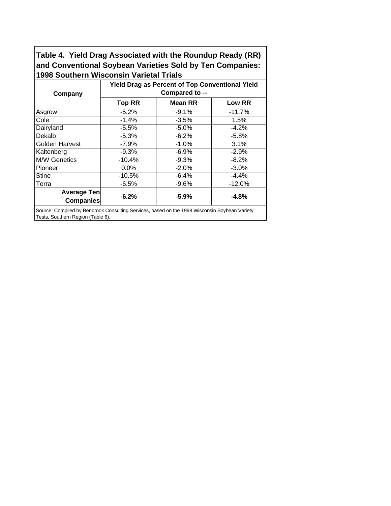**Table 4. Yield Drag Associated with the Roundup Ready (RR) and Conventional Soybean Varieties Sold by Ten Companies: 1998 Southern Wisconsin Varietal Trials**

|                                                                                               | <b>Yield Drag as Percent of Top Conventional Yield</b> |                |          |  |  |  |  |
|-----------------------------------------------------------------------------------------------|--------------------------------------------------------|----------------|----------|--|--|--|--|
| Company                                                                                       | Compared to --                                         |                |          |  |  |  |  |
|                                                                                               | <b>Top RR</b>                                          | <b>Mean RR</b> | Low RR   |  |  |  |  |
| Asgrow                                                                                        | $-5.2%$                                                | $-9.1%$        | $-11.7%$ |  |  |  |  |
| Cole                                                                                          | $-1.4%$                                                | $-3.5%$        | 1.5%     |  |  |  |  |
| Dairyland                                                                                     | $-5.5%$                                                | $-5.0%$        | $-4.2%$  |  |  |  |  |
| Dekalb                                                                                        | $-5.3%$                                                | $-6.2%$        | $-5.8%$  |  |  |  |  |
| Golden Harvest                                                                                | $-7.9%$                                                | $-1.0%$        | 3.1%     |  |  |  |  |
| Kaltenberg                                                                                    | $-9.3%$                                                | $-6.9%$        | $-2.9%$  |  |  |  |  |
| <b>M/W Genetics</b>                                                                           | $-10.4%$                                               | $-9.3%$        | $-8.2%$  |  |  |  |  |
| Pioneer                                                                                       | 0.0%                                                   | $-2.0%$        | $-3.0%$  |  |  |  |  |
| <b>Stine</b>                                                                                  | $-10.5%$                                               | $-6.4%$        | $-4.4%$  |  |  |  |  |
| Terra                                                                                         | $-6.5%$                                                | $-9.6%$        | $-12.0%$ |  |  |  |  |
| <b>Average Ten</b><br><b>Companies</b>                                                        | $-6.2%$                                                | $-5.9%$        | $-4.8%$  |  |  |  |  |
| Source: Compiled by Benbrook Consulting Services, based on the 1998 Wisconsin Soybean Variety |                                                        |                |          |  |  |  |  |

Tests, Southern Region (Table 6).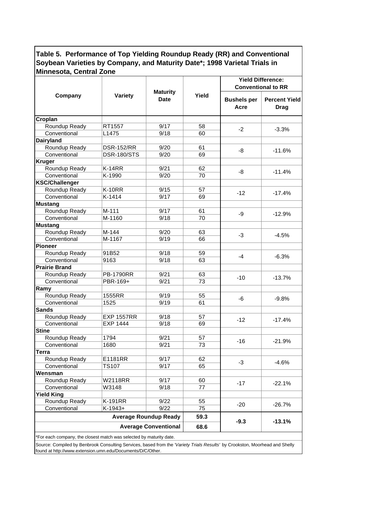|                                                                                                                             |                   |                                |       | <b>Yield Difference:</b>   |                                     |  |
|-----------------------------------------------------------------------------------------------------------------------------|-------------------|--------------------------------|-------|----------------------------|-------------------------------------|--|
|                                                                                                                             |                   |                                |       | <b>Conventional to RR</b>  |                                     |  |
| Company                                                                                                                     | <b>Variety</b>    | <b>Maturity</b><br><b>Date</b> | Yield | <b>Bushels per</b><br>Acre | <b>Percent Yield</b><br><b>Drag</b> |  |
| Croplan                                                                                                                     |                   |                                |       |                            |                                     |  |
| Roundup Ready                                                                                                               | RT1557            | 9/17                           | 58    |                            |                                     |  |
| Conventional                                                                                                                | L1475             | 9/18                           | 60    | $-2$                       | $-3.3%$                             |  |
| <b>Dairyland</b>                                                                                                            |                   |                                |       |                            |                                     |  |
| Roundup Ready                                                                                                               | <b>DSR-152/RR</b> | 9/20                           | 61    |                            |                                     |  |
| Conventional                                                                                                                | DSR-180/STS       | 9/20                           | 69    | -8                         | $-11.6%$                            |  |
| <b>Kruger</b>                                                                                                               |                   |                                |       |                            |                                     |  |
| Roundup Ready                                                                                                               | $K-14RR$          | 9/21                           | 62    |                            |                                     |  |
| Conventional                                                                                                                | K-1990            | 9/20                           | 70    | -8                         | $-11.4%$                            |  |
| <b>KSC/Challenger</b>                                                                                                       |                   |                                |       |                            |                                     |  |
| Roundup Ready                                                                                                               | <b>K-10RR</b>     | 9/15                           | 57    |                            |                                     |  |
| Conventional                                                                                                                | K-1414            | 9/17                           | 69    | $-12$                      | $-17.4%$                            |  |
| <b>Mustang</b>                                                                                                              |                   |                                |       |                            |                                     |  |
| Roundup Ready                                                                                                               | $M-111$           | 9/17                           | 61    |                            |                                     |  |
| Conventional                                                                                                                | M-1160            | 9/18                           | 70    | -9                         | $-12.9%$                            |  |
|                                                                                                                             |                   |                                |       |                            |                                     |  |
| <b>Mustang</b>                                                                                                              |                   | 9/20                           |       |                            |                                     |  |
| Roundup Ready                                                                                                               | $M-144$           |                                | 63    | $-3$                       | $-4.5%$                             |  |
| Conventional                                                                                                                | M-1167            | 9/19                           | 66    |                            |                                     |  |
| <b>Pioneer</b>                                                                                                              |                   |                                |       |                            |                                     |  |
| Roundup Ready                                                                                                               | 91B52             | 9/18                           | 59    | $-4$                       | $-6.3%$                             |  |
| Conventional                                                                                                                | 9163              | 9/18                           | 63    |                            |                                     |  |
| <b>Prairie Brand</b>                                                                                                        |                   |                                |       |                            |                                     |  |
| Roundup Ready                                                                                                               | <b>PB-1790RR</b>  | 9/21                           | 63    | $-10$                      | $-13.7%$                            |  |
| Conventional                                                                                                                | PBR-169+          | 9/21                           | 73    |                            |                                     |  |
| Ramy                                                                                                                        |                   |                                |       |                            |                                     |  |
| Roundup Ready                                                                                                               | 1555RR            | 9/19                           | 55    | -6                         | $-9.8%$                             |  |
| Conventional                                                                                                                | 1525              | 9/19                           | 61    |                            |                                     |  |
| <b>Sands</b>                                                                                                                |                   |                                |       |                            |                                     |  |
| Roundup Ready                                                                                                               | <b>EXP 1557RR</b> | 9/18                           | 57    | $-12$                      |                                     |  |
| Conventional                                                                                                                | <b>EXP 1444</b>   | 9/18                           | 69    |                            | $-17.4%$                            |  |
| <b>Stine</b>                                                                                                                |                   |                                |       |                            |                                     |  |
| Roundup Ready                                                                                                               | 1794              | 9/21                           | 57    |                            |                                     |  |
| Conventional                                                                                                                | 1680              | 9/21                           | 73    | $-16$                      | $-21.9%$                            |  |
| <b>Terra</b>                                                                                                                |                   |                                |       |                            |                                     |  |
| Roundup Ready                                                                                                               | E1181RR           | 9/17                           | 62    |                            |                                     |  |
| Conventional                                                                                                                | <b>TS107</b>      | 9/17                           | 65    | -3                         | $-4.6%$                             |  |
| Wensman                                                                                                                     |                   |                                |       |                            |                                     |  |
| Roundup Ready                                                                                                               | W2118RR           | 9/17                           | 60    |                            |                                     |  |
| Conventional                                                                                                                | W3148             | 9/18                           | 77    | $-17$                      | $-22.1%$                            |  |
| <b>Yield King</b>                                                                                                           |                   |                                |       |                            |                                     |  |
| Roundup Ready                                                                                                               | K-191RR           | 9/22                           | 55    |                            |                                     |  |
| Conventional                                                                                                                | $K-1943+$         | 9/22                           | 75    | $-20$                      | $-26.7%$                            |  |
|                                                                                                                             |                   | <b>Average Roundup Ready</b>   | 59.3  |                            |                                     |  |
|                                                                                                                             |                   |                                |       | $-9.3$                     | $-13.1%$                            |  |
|                                                                                                                             |                   | <b>Average Conventional</b>    | 68.6  |                            |                                     |  |
| *For each company, the closest match was selected by maturity date.                                                         |                   |                                |       |                            |                                     |  |
| Source: Compiled by Benbrook Consulting Services, based from the 'Variety Trials Results' by Crookston, Moorhead and Shelly |                   |                                |       |                            |                                     |  |
| found at http://www.extension.umn.edu/Documents/D/C/Other.                                                                  |                   |                                |       |                            |                                     |  |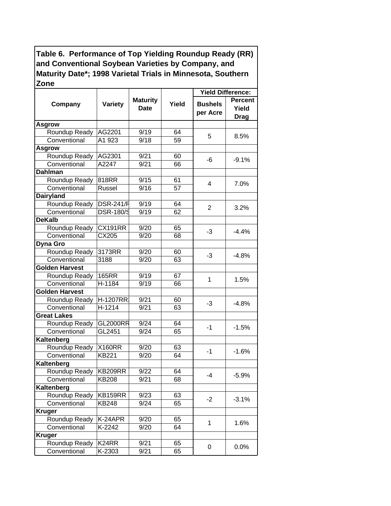|                       |                  |                                |       | <b>Yield Difference:</b>   |                                        |
|-----------------------|------------------|--------------------------------|-------|----------------------------|----------------------------------------|
| Company               | <b>Variety</b>   | <b>Maturity</b><br><b>Date</b> | Yield | <b>Bushels</b><br>per Acre | <b>Percent</b><br>Yield<br><b>Drag</b> |
| <b>Asgrow</b>         |                  |                                |       |                            |                                        |
| Roundup Ready         | AG2201           | 9/19                           | 64    | 5                          |                                        |
| Conventional          | A1 923           | 9/18                           | 59    |                            | 8.5%                                   |
| <b>Asgrow</b>         |                  |                                |       |                            |                                        |
| Roundup Ready         | AG2301           | 9/21                           | 60    | -6                         | $-9.1%$                                |
| Conventional          | A2247            | 9/21                           | 66    |                            |                                        |
| <b>Dahlman</b>        |                  |                                |       |                            |                                        |
| Roundup Ready         | 818RR            | 9/15                           | 61    | 4                          | 7.0%                                   |
| Conventional          | Russel           | 9/16                           | 57    |                            |                                        |
| <b>Dairyland</b>      |                  |                                |       |                            |                                        |
| Roundup Ready         | <b>DSR-241/F</b> | 9/19                           | 64    | 2                          | 3.2%                                   |
| Conventional          | <b>DSR-180/S</b> | 9/19                           | 62    |                            |                                        |
| <b>DeKalb</b>         |                  |                                |       |                            |                                        |
| Roundup Ready         | <b>CX191RR</b>   | 9/20                           | 65    | $-3$                       | $-4.4%$                                |
| Conventional          | CX205            | 9/20                           | 68    |                            |                                        |
| <b>Dyna Gro</b>       |                  |                                |       |                            |                                        |
| Roundup Ready         | 3173RR           | 9/20                           | 60    | $-3$                       | $-4.8%$                                |
| Conventional          | 3188             | 9/20                           | 63    |                            |                                        |
| <b>Golden Harvest</b> |                  |                                |       |                            |                                        |
| Roundup Ready         | <b>165RR</b>     | 9/19                           | 67    | 1                          | 1.5%                                   |
| Conventional          | H-1184           | 9/19                           | 66    |                            |                                        |
| <b>Golden Harvest</b> |                  |                                |       |                            |                                        |
| Roundup Ready         | H-1207RR         | 9/21                           | 60    | $-3$                       | $-4.8%$                                |
| Conventional          | $H-1214$         | 9/21                           | 63    |                            |                                        |
| <b>Great Lakes</b>    |                  |                                |       |                            |                                        |
| Roundup Ready         | <b>GL2000RR</b>  | 9/24                           | 64    | $-1$                       | $-1.5%$                                |
| Conventional          | GL2451           | 9/24                           | 65    |                            |                                        |
| Kaltenberg            |                  |                                |       |                            |                                        |
| Roundup Ready         | <b>X160RR</b>    | 9/20                           | 63    | $-1$                       | $-1.6%$                                |
| Conventional          | <b>KB221</b>     | 9/20                           | 64    |                            |                                        |
| Kaltenberg            |                  |                                |       |                            |                                        |
| Roundup Ready         | <b>KB209RR</b>   | 9/22                           | 64    | 4                          | $-5.9%$                                |
| Conventional          | <b>KB208</b>     | 9/21                           | 68    |                            |                                        |
| Kaltenberg            |                  |                                |       |                            |                                        |
| Roundup Ready         | KB159RR          | 9/23                           | 63    | $-2$                       | $-3.1%$                                |
| Conventional          | <b>KB248</b>     | 9/24                           | 65    |                            |                                        |
| <b>Kruger</b>         |                  |                                |       |                            |                                        |
| Roundup Ready         | K-24APR          | 9/20                           | 65    | 1                          | 1.6%                                   |
| Conventional          | K-2242           | 9/20                           | 64    |                            |                                        |
| <b>Kruger</b>         |                  |                                |       |                            |                                        |
| Roundup Ready         | K24RR            | 9/21                           | 65    | 0                          | 0.0%                                   |
| Conventional          | K-2303           | 9/21                           | 65    |                            |                                        |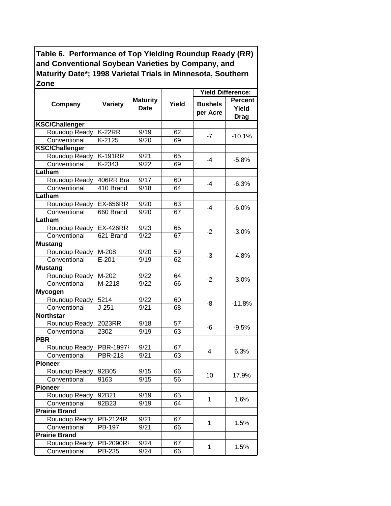|                       |                    |                                |       | <b>Yield Difference:</b>   |                                 |
|-----------------------|--------------------|--------------------------------|-------|----------------------------|---------------------------------|
| Company               | <b>Variety</b>     | <b>Maturity</b><br><b>Date</b> | Yield | <b>Bushels</b><br>per Acre | Percent<br>Yield<br><b>Drag</b> |
| <b>KSC/Challenger</b> |                    |                                |       |                            |                                 |
| Roundup Ready         | <b>K-22RR</b>      | 9/19                           | 62    |                            |                                 |
| Conventional          | $K-2125$           | 9/20                           | 69    | $-7$                       | $-10.1%$                        |
| <b>KSC/Challenger</b> |                    |                                |       |                            |                                 |
| Roundup Ready         | <b>K-191RR</b>     | 9/21                           | 65    | $-4$                       |                                 |
| Conventional          | K-2343             | 9/22                           | 69    |                            | $-5.8%$                         |
| Latham                |                    |                                |       |                            |                                 |
| Roundup Ready         | 406RR Bra          | 9/17                           | 60    | $-4$                       | $-6.3%$                         |
| Conventional          | 410 Brand          | 9/18                           | 64    |                            |                                 |
| Latham                |                    |                                |       |                            |                                 |
| Roundup Ready         | <b>EX-656RR</b>    | 9/20                           | 63    | $-4$                       | $-6.0\%$                        |
| Conventional          | 660 Brand          | 9/20                           | 67    |                            |                                 |
| Latham                |                    |                                |       |                            |                                 |
| Roundup Ready         | <b>EX-426RR</b>    | 9/23                           | 65    |                            |                                 |
| Conventional          | 621 Brand          | 9/22                           | 67    | $-2$                       | $-3.0%$                         |
| <b>Mustang</b>        |                    |                                |       |                            |                                 |
| Roundup Ready         | M-208              | 9/20                           | 59    | $-3$                       | $-4.8%$                         |
| Conventional          | $E-201$            | 9/19                           | 62    |                            |                                 |
| <b>Mustang</b>        |                    |                                |       |                            |                                 |
| Roundup Ready         | $\overline{M-202}$ | 9/22                           | 64    | $-2$                       | $-3.0%$                         |
| Conventional          | M-2218             | 9/22                           | 66    |                            |                                 |
| <b>Mycogen</b>        |                    |                                |       |                            |                                 |
| Roundup Ready         | 5214               | 9/22                           | 60    | -8                         | $-11.8%$                        |
| Conventional          | $J-251$            | 9/21                           | 68    |                            |                                 |
| <b>Northstar</b>      |                    |                                |       |                            |                                 |
| Roundup Ready         | 2023RR             | 9/18                           | 57    | -6                         |                                 |
| Conventional          | 2302               | 9/19                           | 63    |                            | $-9.5%$                         |
| <b>PBR</b>            |                    |                                |       |                            |                                 |
| Roundup Ready         | <b>PBR-1997I</b>   | 9/21                           | 67    | 4                          | 6.3%                            |
| Conventional          | <b>PBR-218</b>     | 9/21                           | 63    |                            |                                 |
| <b>Pioneer</b>        |                    |                                |       |                            |                                 |
| Roundup Ready         | 92B05              | 9/15                           | 66    | 10 <sup>°</sup>            | 17.9%                           |
| Conventional          | 9163               | 9/15                           | 56    |                            |                                 |
| <b>Pioneer</b>        |                    |                                |       |                            |                                 |
| Roundup Ready         | 92B21              | 9/19                           | 65    | 1                          | 1.6%                            |
| Conventional          | 92B23              | 9/19                           | 64    |                            |                                 |
| <b>Prairie Brand</b>  |                    |                                |       |                            |                                 |
| Roundup Ready         | PB-2124R           | 9/21                           | 67    | 1                          | 1.5%                            |
| Conventional          | PB-197             | 9/21                           | 66    |                            |                                 |
| <b>Prairie Brand</b>  |                    |                                |       |                            |                                 |
| Roundup Ready         | <b>PB-2090RI</b>   | 9/24                           | 67    | 1                          | 1.5%                            |
| Conventional          | PB-235             | 9/24                           | 66    |                            |                                 |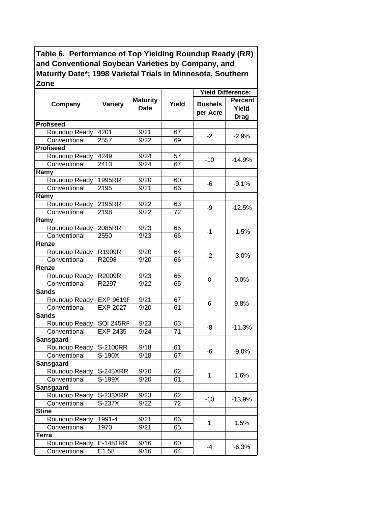|                  |                  |                                |       | <b>Yield Difference:</b>   |                                        |
|------------------|------------------|--------------------------------|-------|----------------------------|----------------------------------------|
| Company          | <b>Variety</b>   | <b>Maturity</b><br><b>Date</b> | Yield | <b>Bushels</b><br>per Acre | <b>Percent</b><br>Yield<br><b>Drag</b> |
| <b>Profiseed</b> |                  |                                |       |                            |                                        |
| Roundup Ready    | 4201             | 9/21                           | 67    | $-2$                       |                                        |
| Conventional     | 2557             | 9/22                           | 69    |                            | $-2.9%$                                |
| <b>Profiseed</b> |                  |                                |       |                            |                                        |
| Roundup Ready    | 4249             | 9/24                           | 57    | $-10$                      | $-14.9%$                               |
| Conventional     | 2413             | 9/24                           | 67    |                            |                                        |
| Ramy             |                  |                                |       |                            |                                        |
| Roundup Ready    | 1995RR           | 9/20                           | 60    | -6                         | $-9.1%$                                |
| Conventional     | 2195             | 9/21                           | 66    |                            |                                        |
| Ramy             |                  |                                |       |                            |                                        |
| Roundup Ready    | 2195RR           | 9/22                           | 63    | -9                         | $-12.5%$                               |
| Conventional     | 2198             | 9/22                           | 72    |                            |                                        |
| Ramy             |                  |                                |       |                            |                                        |
| Roundup Ready    | 2085RR           | 9/23                           | 65    | $-1$                       | $-1.5%$                                |
| Conventional     | 2550             | 9/23                           | 66    |                            |                                        |
| Renze            |                  |                                |       |                            |                                        |
| Roundup Ready    | R1909R           | 9/20                           | 64    | $-2$                       | $-3.0%$                                |
| Conventional     | R2098            | 9/20                           | 66    |                            |                                        |
| Renze            |                  |                                |       |                            |                                        |
| Roundup Ready    | <b>R2009R</b>    | 9/23                           | 65    | 0                          | 0.0%                                   |
| Conventional     | R2297            | 9/22                           | 65    |                            |                                        |
| <b>Sands</b>     |                  |                                |       |                            |                                        |
| Roundup Ready    | <b>EXP 9619F</b> | 9/21                           | 67    | 6                          | 9.8%                                   |
| Conventional     | <b>EXP 2027</b>  | 9/20                           | 61    |                            |                                        |
| <b>Sands</b>     |                  |                                |       |                            |                                        |
| Roundup Ready    | <b>SOI 245RF</b> | 9/23                           | 63    | -8                         | $-11.3%$                               |
| Conventional     | EXP 2435         | 9/24                           | 71    |                            |                                        |
| <b>Sansgaard</b> |                  |                                |       |                            |                                        |
| Roundup Ready    | S-2100RR         | 9/18                           | 61    | -6                         | $-9.0%$                                |
| Conventional     | S-190X           | 9/18                           | 67    |                            |                                        |
| <b>Sansgaard</b> |                  |                                |       |                            |                                        |
| Roundup Ready    | <b>S-245XRR</b>  | 9/20                           | 62    | 1.                         | 1.6%                                   |
| Conventional     | S-199X           | 9/20                           | 61    |                            |                                        |
| <b>Sansgaard</b> |                  |                                |       |                            |                                        |
| Roundup Ready    | <b>S-233XRR</b>  | 9/23                           | 62    | $-10$                      | $-13.9%$                               |
| Conventional     | S-237X           | 9/22                           | 72    |                            |                                        |
| <b>Stine</b>     |                  |                                |       |                            |                                        |
| Roundup Ready    | 1991-4           | 9/21                           | 66    | 1                          | 1.5%                                   |
| Conventional     | 1970             | 9/21                           | 65    |                            |                                        |
| <b>Terra</b>     |                  |                                |       |                            |                                        |
| Roundup Ready    | E-1481RR         | 9/16                           | 60    | $-4$                       | $-6.3%$                                |
| Conventional     | E1 58            | 9/16                           | 64    |                            |                                        |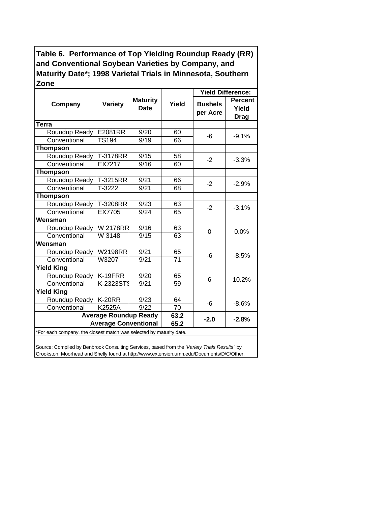|                                                                                              |                                           |      |       | <b>Yield Difference:</b>   |                                        |
|----------------------------------------------------------------------------------------------|-------------------------------------------|------|-------|----------------------------|----------------------------------------|
| Company                                                                                      | <b>Maturity</b><br>Variety<br><b>Date</b> |      | Yield | <b>Bushels</b><br>per Acre | <b>Percent</b><br>Yield<br><b>Drag</b> |
| Terra                                                                                        |                                           |      |       |                            |                                        |
| Roundup Ready                                                                                | E2081RR                                   | 9/20 | 60    | -6                         | $-9.1%$                                |
| Conventional                                                                                 | <b>TS194</b>                              | 9/19 | 66    |                            |                                        |
| <b>Thompson</b>                                                                              |                                           |      |       |                            |                                        |
| Roundup Ready                                                                                | T-3178RR                                  | 9/15 | 58    | $-2$                       | $-3.3%$                                |
| Conventional                                                                                 | EX7217                                    | 9/16 | 60    |                            |                                        |
| Thompson                                                                                     |                                           |      |       |                            |                                        |
| Roundup Ready                                                                                | T-3215RR                                  | 9/21 | 66    | $-2$                       |                                        |
| Conventional                                                                                 | T-3222                                    | 9/21 | 68    |                            | $-2.9%$                                |
| <b>Thompson</b>                                                                              |                                           |      |       |                            |                                        |
| Roundup Ready                                                                                | T-3208RR                                  | 9/23 | 63    |                            |                                        |
| Conventional                                                                                 | EX7705                                    | 9/24 | 65    | $-2$                       | $-3.1%$                                |
| Wensman                                                                                      |                                           |      |       |                            |                                        |
| Roundup Ready                                                                                | <b>W2178RR</b>                            | 9/16 | 63    |                            | 0.0%                                   |
| Conventional                                                                                 | W 3148                                    | 9/15 | 63    | $\Omega$                   |                                        |
| Wensman                                                                                      |                                           |      |       |                            |                                        |
| Roundup Ready                                                                                | <b>W2198RR</b>                            | 9/21 | 65    | -6                         |                                        |
| Conventional                                                                                 | W3207                                     | 9/21 | 71    |                            | $-8.5%$                                |
| <b>Yield King</b>                                                                            |                                           |      |       |                            |                                        |
| <b>Roundup Ready</b>                                                                         | K-19FRR                                   | 9/20 | 65    |                            |                                        |
| Conventional                                                                                 | K-2323ST                                  | 9/21 | 59    | 6                          | 10.2%                                  |
| <b>Yield King</b>                                                                            |                                           |      |       |                            |                                        |
| Roundup Ready                                                                                | $K-20RR$                                  | 9/23 | 64    |                            |                                        |
| Conventional                                                                                 | <b>K2525A</b>                             | 9/22 | 70    | -6                         | $-8.6%$                                |
| <b>Average Roundup Ready</b>                                                                 | 63.2                                      |      |       |                            |                                        |
| $-2.0$<br>$-2.8%$<br><b>Average Conventional</b><br>65.2                                     |                                           |      |       |                            |                                        |
| *For each company, the closest match was selected by maturity date.                          |                                           |      |       |                            |                                        |
|                                                                                              |                                           |      |       |                            |                                        |
| Source: Compiled by Benbrook Consulting Services, based from the 'Variety Trials Results' by |                                           |      |       |                            |                                        |

Crookston, Moorhead and Shelly found at http://www.extension.umn.edu/Documents/D/C/Other.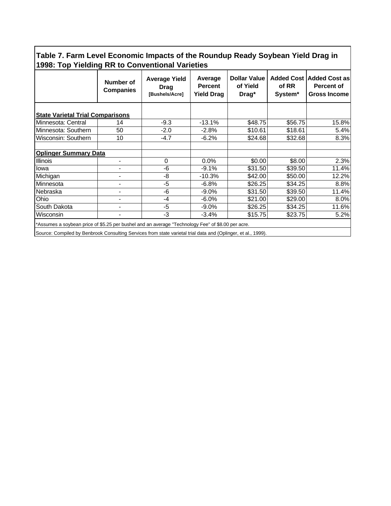**Table 7. Farm Level Economic Impacts of the Roundup Ready Soybean Yield Drag in 1998: Top Yielding RR to Conventional Varieties**

|                                                                                                                                                                                                                    | Number of<br><b>Companies</b> | <b>Average Yield</b><br><b>Drag</b><br>[Bushels/Acre] | Average<br><b>Percent</b><br><b>Yield Drag</b> | <b>Dollar Value</b><br>of Yield<br>Drag* | of RR<br>System <sup>*</sup> | Added Cost   Added Cost as<br><b>Percent of</b><br><b>Gross Income</b> |  |
|--------------------------------------------------------------------------------------------------------------------------------------------------------------------------------------------------------------------|-------------------------------|-------------------------------------------------------|------------------------------------------------|------------------------------------------|------------------------------|------------------------------------------------------------------------|--|
| <b>State Varietal Trial Comparisons</b>                                                                                                                                                                            |                               |                                                       |                                                |                                          |                              |                                                                        |  |
| Minnesota: Central                                                                                                                                                                                                 | 14                            | $-9.3$                                                | $-13.1%$                                       | \$48.75                                  | \$56.75                      | 15.8%                                                                  |  |
| Minnesota: Southern                                                                                                                                                                                                | 50                            | $-2.0$                                                | $-2.8%$                                        | \$10.61                                  | \$18.61                      | 5.4%                                                                   |  |
| Wisconsin: Southern                                                                                                                                                                                                | 10                            | $-4.7$                                                | $-6.2%$                                        | \$24.68                                  | \$32.68                      | 8.3%                                                                   |  |
| <b>Oplinger Summary Data</b>                                                                                                                                                                                       |                               |                                                       |                                                |                                          |                              |                                                                        |  |
| <b>Illinois</b>                                                                                                                                                                                                    |                               | 0                                                     | 0.0%                                           | \$0.00                                   | \$8.00                       | 2.3%                                                                   |  |
| lowa                                                                                                                                                                                                               | $\blacksquare$                | -6                                                    | $-9.1%$                                        | \$31.50                                  | \$39.50                      | 11.4%                                                                  |  |
| Michigan                                                                                                                                                                                                           | -                             | -8                                                    | $-10.3%$                                       | \$42.00                                  | \$50.00                      | 12.2%                                                                  |  |
| Minnesota                                                                                                                                                                                                          | -                             | -5                                                    | $-6.8\%$                                       | \$26.25                                  | \$34.25                      | 8.8%                                                                   |  |
| Nebraska                                                                                                                                                                                                           | $\blacksquare$                | -6                                                    | $-9.0%$                                        | \$31.50                                  | \$39.50                      | 11.4%                                                                  |  |
| Ohio                                                                                                                                                                                                               | -                             | -4                                                    | $-6.0%$                                        | \$21.00                                  | \$29.00                      | 8.0%                                                                   |  |
| South Dakota                                                                                                                                                                                                       | -                             | -5                                                    | $-9.0%$                                        | \$26.25                                  | \$34.25                      | 11.6%                                                                  |  |
| Wisconsin                                                                                                                                                                                                          |                               | -3                                                    | $-3.4%$                                        | \$15.75                                  | \$23.75                      | 5.2%                                                                   |  |
| *Assumes a soybean price of \$5.25 per bushel and an average "Technology Fee" of \$8.00 per acre.<br>Source: Compiled by Benbrook Consulting Services from state varietal trial data and (Oplinger, et al., 1999). |                               |                                                       |                                                |                                          |                              |                                                                        |  |